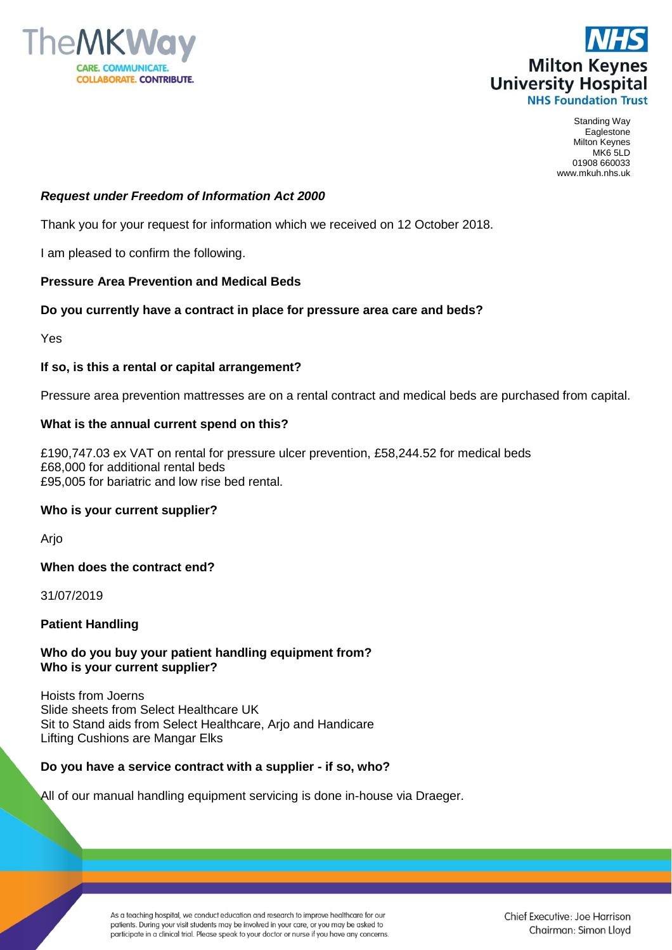



Standing Way Eaglestone Milton Keynes MK6 5LD 01908 660033 www.mkuh.nhs.uk

## *Request under Freedom of Information Act 2000*

Thank you for your request for information which we received on 12 October 2018.

I am pleased to confirm the following.

#### **Pressure Area Prevention and Medical Beds**

## **Do you currently have a contract in place for pressure area care and beds?**

Yes

#### **If so, is this a rental or capital arrangement?**

Pressure area prevention mattresses are on a rental contract and medical beds are purchased from capital.

#### **What is the annual current spend on this?**

£190,747.03 ex VAT on rental for pressure ulcer prevention, £58,244.52 for medical beds £68,000 for additional rental beds £95,005 for bariatric and low rise bed rental.

## **Who is your current supplier?**

Arjo

**When does the contract end?**

31/07/2019

## **Patient Handling**

## **Who do you buy your patient handling equipment from? Who is your current supplier?**

Hoists from Joerns Slide sheets from Select Healthcare UK Sit to Stand aids from Select Healthcare, Arjo and Handicare Lifting Cushions are Mangar Elks

## **Do you have a service contract with a supplier - if so, who?**

All of our manual handling equipment servicing is done in-house via Draeger.

As a teaching hospital, we conduct education and research to improve healthcare for our patients. During your visit students may be involved in your care, or you may be asked to participate in a clinical trial. Please speak to your doctor or nurse if you have any concerns.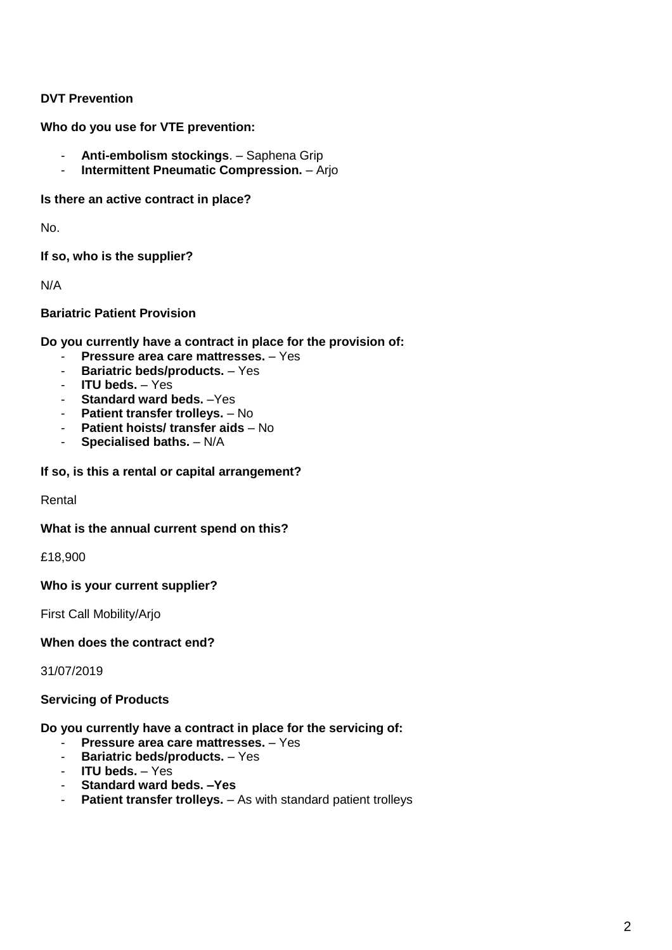# **DVT Prevention**

**Who do you use for VTE prevention:**

- **Anti-embolism stockings**. Saphena Grip
- **Intermittent Pneumatic Compression.** Arjo

**Is there an active contract in place?**

No.

**If so, who is the supplier?**

N/A

**Bariatric Patient Provision**

**Do you currently have a contract in place for the provision of:**

- **Pressure area care mattresses.** Yes
- **Bariatric beds/products.** Yes
- **ITU beds.** Yes
- **Standard ward beds.** –Yes
- **Patient transfer trolleys.** No
- **Patient hoists/ transfer aids** No
- **Specialised baths.** N/A

**If so, is this a rental or capital arrangement?**

Rental

## **What is the annual current spend on this?**

£18,900

**Who is your current supplier?**

First Call Mobility/Arjo

## **When does the contract end?**

31/07/2019

## **Servicing of Products**

**Do you currently have a contract in place for the servicing of:**

- **Pressure area care mattresses.** Yes
- Bariatric beds/products. Yes
- **ITU beds.** Yes
- **Standard ward beds. –Yes**
- **Patient transfer trolleys.** As with standard patient trolleys